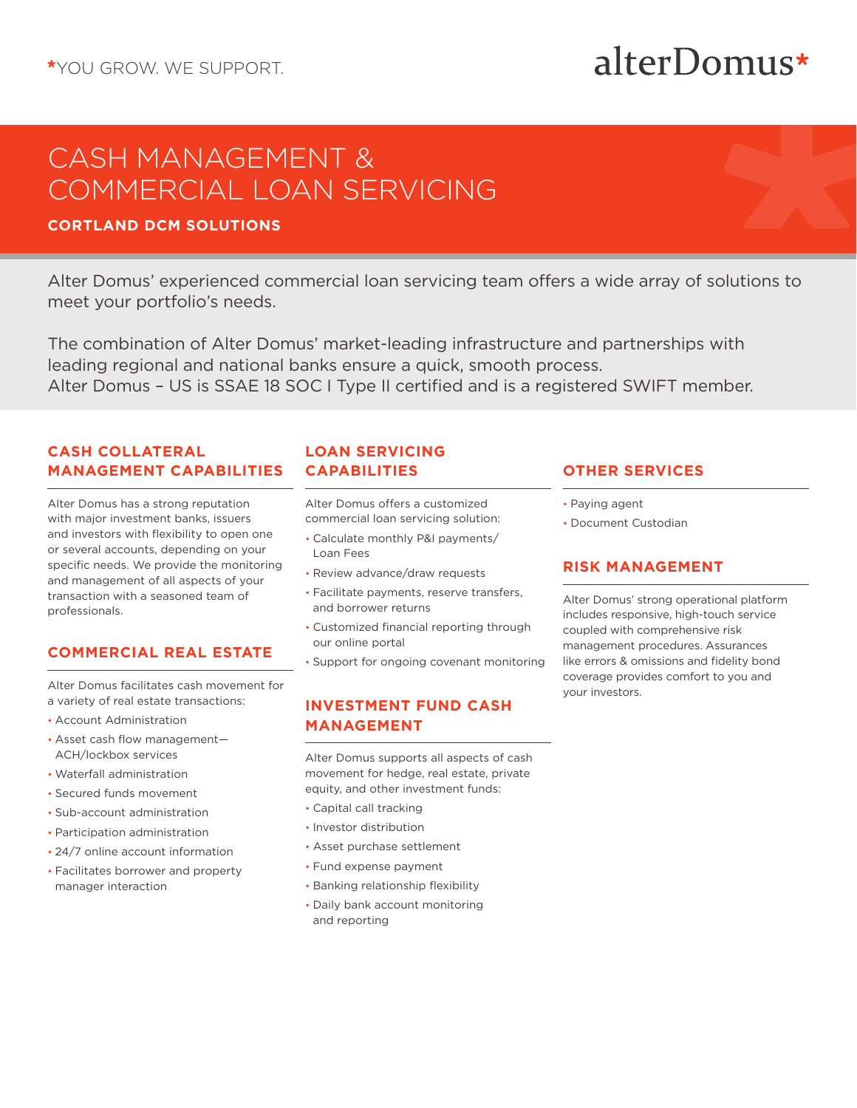# alterDomus\*

## CASH MANAGEMENT & COMMERCIAL LOAN SERVICING

### **CORTLAND DCM SOLUTIONS**

Alter Domus' experienced commercial loan servicing team offers a wide array of solutions to meet your portfolio's needs.

The combination of Alter Domus' market-leading infrastructure and partnerships with leading regional and national banks ensure a quick, smooth process. Alter Domus – US is SSAE 18 SOC I Type II certified and is a registered SWIFT member.

#### **CASH COLLATERAL MANAGEMENT CAPABILITIES**

Alter Domus has a strong reputation with major investment banks, issuers and investors with flexibility to open one or several accounts, depending on your specific needs. We provide the monitoring and management of all aspects of your transaction with a seasoned team of professionals.

#### **COMMERCIAL REAL ESTATE**

Alter Domus facilitates cash movement for a variety of real estate transactions:

- Account Administration
- Asset cash flow management— ACH/lockbox services
- Waterfall administration
- Secured funds movement
- Sub-account administration
- Participation administration
- 24/7 online account information
- Facilitates borrower and property manager interaction

#### **LOAN SERVICING CAPABILITIES**

Alter Domus offers a customized commercial loan servicing solution:

- Calculate monthly P&I payments/ Loan Fees
- Review advance/draw requests
- Facilitate payments, reserve transfers, and borrower returns
- Customized financial reporting through our online portal
- Support for ongoing covenant monitoring

#### **INVESTMENT FUND CASH MANAGEMENT**

Alter Domus supports all aspects of cash movement for hedge, real estate, private equity, and other investment funds:

- Capital call tracking
- Investor distribution • Asset purchase settlement
- 
- Fund expense payment
- Banking relationship flexibility
- Daily bank account monitoring and reporting

#### **OTHER SERVICES**

- Paying agent
- Document Custodian

#### **RISK MANAGEMENT**

Alter Domus' strong operational platform includes responsive, high-touch service coupled with comprehensive risk management procedures. Assurances like errors & omissions and fidelity bond coverage provides comfort to you and your investors.